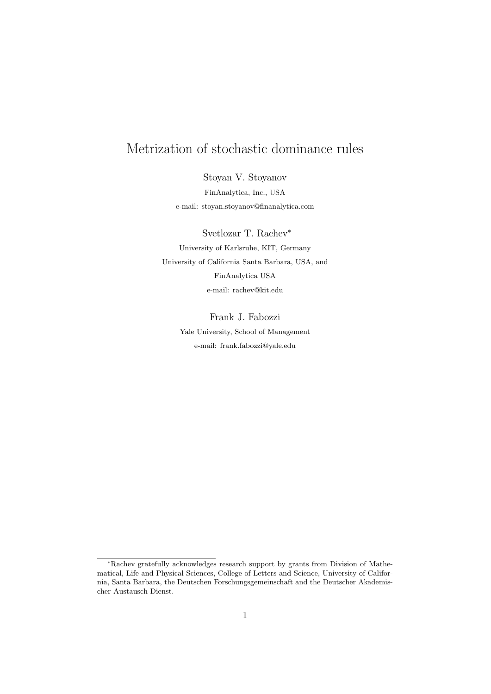# Metrization of stochastic dominance rules

Stoyan V. Stoyanov FinAnalytica, Inc., USA e-mail: stoyan.stoyanov@finanalytica.com

Svetlozar T. Rachev<sup>∗</sup> University of Karlsruhe, KIT, Germany University of California Santa Barbara, USA, and FinAnalytica USA e-mail: rachev@kit.edu

> Frank J. Fabozzi Yale University, School of Management e-mail: frank.fabozzi@yale.edu

<sup>∗</sup>Rachev gratefully acknowledges research support by grants from Division of Mathematical, Life and Physical Sciences, College of Letters and Science, University of California, Santa Barbara, the Deutschen Forschungsgemeinschaft and the Deutscher Akademischer Austausch Dienst.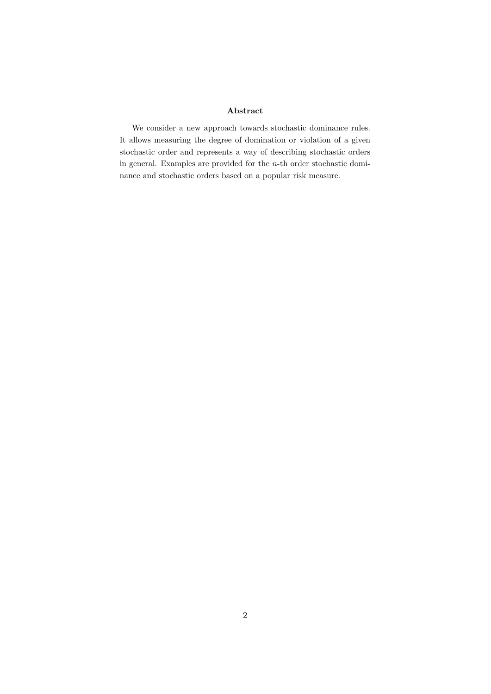#### Abstract

We consider a new approach towards stochastic dominance rules. It allows measuring the degree of domination or violation of a given stochastic order and represents a way of describing stochastic orders in general. Examples are provided for the n-th order stochastic dominance and stochastic orders based on a popular risk measure.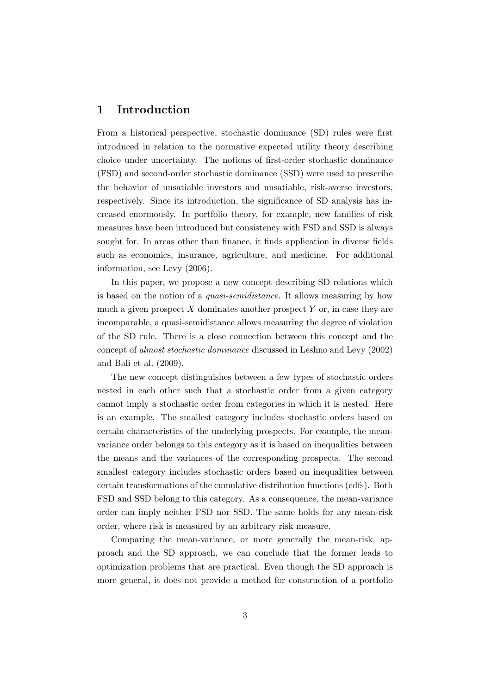### 1 Introduction

From a historical perspective, stochastic dominance (SD) rules were first introduced in relation to the normative expected utility theory describing choice under uncertainty. The notions of first-order stochastic dominance (FSD) and second-order stochastic dominance (SSD) were used to prescribe the behavior of unsatiable investors and unsatiable, risk-averse investors, respectively. Since its introduction, the significance of SD analysis has increased enormously. In portfolio theory, for example, new families of risk measures have been introduced but consistency with FSD and SSD is always sought for. In areas other than finance, it finds application in diverse fields such as economics, insurance, agriculture, and medicine. For additional information, see Levy (2006).

In this paper, we propose a new concept describing SD relations which is based on the notion of a quasi-semidistance. It allows measuring by how much a given prospect  $X$  dominates another prospect  $Y$  or, in case they are incomparable, a quasi-semidistance allows measuring the degree of violation of the SD rule. There is a close connection between this concept and the concept of almost stochastic dominance discussed in Leshno and Levy (2002) and Bali et al. (2009).

The new concept distinguishes between a few types of stochastic orders nested in each other such that a stochastic order from a given category cannot imply a stochastic order from categories in which it is nested. Here is an example. The smallest category includes stochastic orders based on certain characteristics of the underlying prospects. For example, the meanvariance order belongs to this category as it is based on inequalities between the means and the variances of the corresponding prospects. The second smallest category includes stochastic orders based on inequalities between certain transformations of the cumulative distribution functions (cdfs). Both FSD and SSD belong to this category. As a consequence, the mean-variance order can imply neither FSD nor SSD. The same holds for any mean-risk order, where risk is measured by an arbitrary risk measure.

Comparing the mean-variance, or more generally the mean-risk, approach and the SD approach, we can conclude that the former leads to optimization problems that are practical. Even though the SD approach is more general, it does not provide a method for construction of a portfolio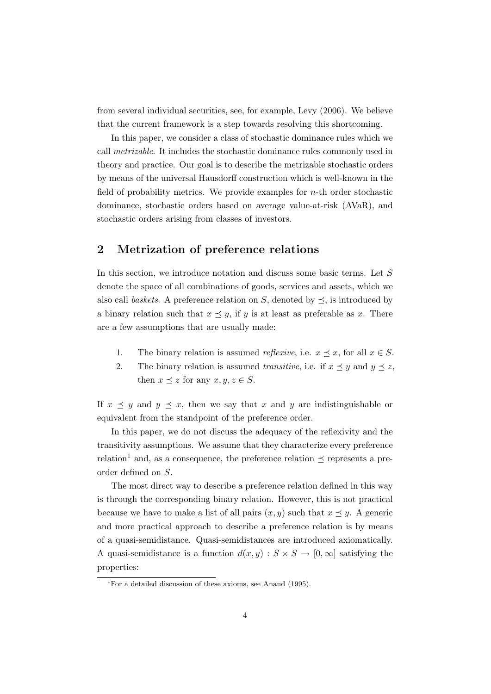from several individual securities, see, for example, Levy (2006). We believe that the current framework is a step towards resolving this shortcoming.

In this paper, we consider a class of stochastic dominance rules which we call metrizable. It includes the stochastic dominance rules commonly used in theory and practice. Our goal is to describe the metrizable stochastic orders by means of the universal Hausdorff construction which is well-known in the field of probability metrics. We provide examples for  $n$ -th order stochastic dominance, stochastic orders based on average value-at-risk (AVaR), and stochastic orders arising from classes of investors.

# 2 Metrization of preference relations

In this section, we introduce notation and discuss some basic terms. Let S denote the space of all combinations of goods, services and assets, which we also call baskets. A preference relation on S, denoted by  $\preceq$ , is introduced by a binary relation such that  $x \leq y$ , if y is at least as preferable as x. There are a few assumptions that are usually made:

- 1. The binary relation is assumed *reflexive*, i.e.  $x \leq x$ , for all  $x \in S$ .
- 2. The binary relation is assumed transitive, i.e. if  $x \preceq y$  and  $y \preceq z$ , then  $x \preceq z$  for any  $x, y, z \in S$ .

If  $x \preceq y$  and  $y \preceq x$ , then we say that x and y are indistinguishable or equivalent from the standpoint of the preference order.

In this paper, we do not discuss the adequacy of the reflexivity and the transitivity assumptions. We assume that they characterize every preference relation<sup>1</sup> and, as a consequence, the preference relation  $\preceq$  represents a preorder defined on S.

The most direct way to describe a preference relation defined in this way is through the corresponding binary relation. However, this is not practical because we have to make a list of all pairs  $(x, y)$  such that  $x \preceq y$ . A generic and more practical approach to describe a preference relation is by means of a quasi-semidistance. Quasi-semidistances are introduced axiomatically. A quasi-semidistance is a function  $d(x, y) : S \times S \to [0, \infty]$  satisfying the properties:

<sup>&</sup>lt;sup>1</sup>For a detailed discussion of these axioms, see Anand  $(1995)$ .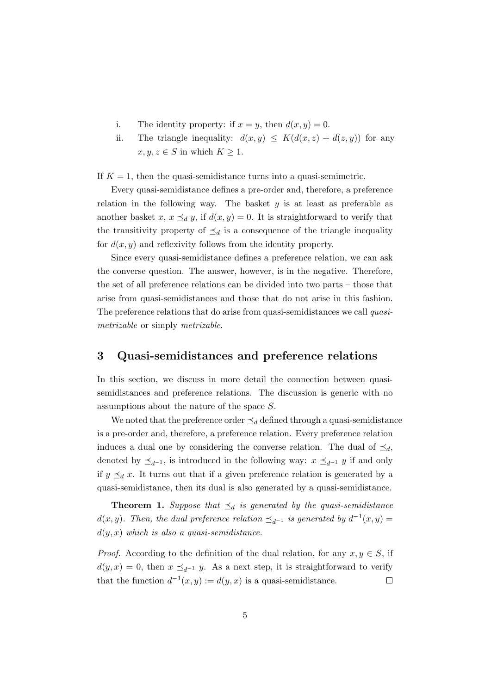- i. The identity property: if  $x = y$ , then  $d(x, y) = 0$ .
- ii. The triangle inequality:  $d(x, y) \le K(d(x, z) + d(z, y))$  for any  $x, y, z \in S$  in which  $K \geq 1$ .

If  $K = 1$ , then the quasi-semidistance turns into a quasi-semimetric.

Every quasi-semidistance defines a pre-order and, therefore, a preference relation in the following way. The basket  $y$  is at least as preferable as another basket x,  $x \preceq_d y$ , if  $d(x, y) = 0$ . It is straightforward to verify that the transitivity property of  $\preceq_d$  is a consequence of the triangle inequality for  $d(x, y)$  and reflexivity follows from the identity property.

Since every quasi-semidistance defines a preference relation, we can ask the converse question. The answer, however, is in the negative. Therefore, the set of all preference relations can be divided into two parts – those that arise from quasi-semidistances and those that do not arise in this fashion. The preference relations that do arise from quasi-semidistances we call quasimetrizable or simply metrizable.

# 3 Quasi-semidistances and preference relations

In this section, we discuss in more detail the connection between quasisemidistances and preference relations. The discussion is generic with no assumptions about the nature of the space S.

We noted that the preference order  $\preceq_d$  defined through a quasi-semidistance is a pre-order and, therefore, a preference relation. Every preference relation induces a dual one by considering the converse relation. The dual of  $\preceq_d$ , denoted by  $\preceq_{d^{-1}}$ , is introduced in the following way:  $x \preceq_{d^{-1}} y$  if and only if  $y \preceq_d x$ . It turns out that if a given preference relation is generated by a quasi-semidistance, then its dual is also generated by a quasi-semidistance.

**Theorem 1.** Suppose that  $\preceq_d$  is generated by the quasi-semidistance  $d(x, y)$ . Then, the dual preference relation  $\preceq_{d^{-1}}$  is generated by  $d^{-1}(x, y) =$  $d(y, x)$  which is also a quasi-semidistance.

*Proof.* According to the definition of the dual relation, for any  $x, y \in S$ , if  $d(y, x) = 0$ , then  $x \preceq_{d^{-1}} y$ . As a next step, it is straightforward to verify that the function  $d^{-1}(x, y) := d(y, x)$  is a quasi-semidistance.  $\Box$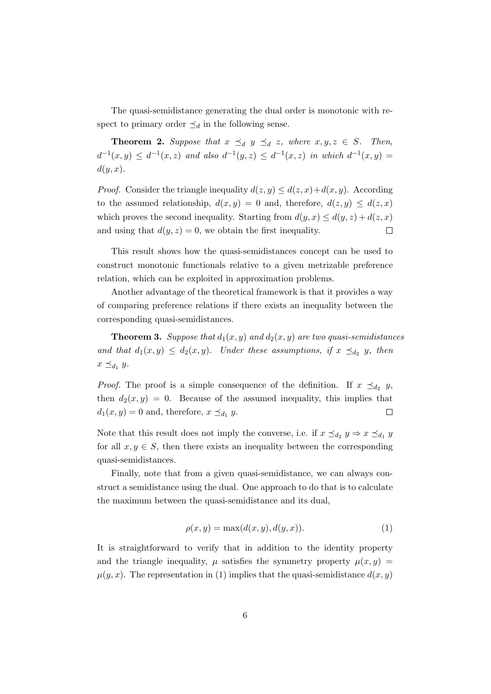The quasi-semidistance generating the dual order is monotonic with respect to primary order  $\preceq_d$  in the following sense.

**Theorem 2.** Suppose that  $x \preceq_d y \preceq_d z$ , where  $x, y, z \in S$ . Then,  $d^{-1}(x, y) \leq d^{-1}(x, z)$  and also  $d^{-1}(y, z) \leq d^{-1}(x, z)$  in which  $d^{-1}(x, y) =$  $d(y, x)$ .

*Proof.* Consider the triangle inequality  $d(z, y) \leq d(z, x) + d(x, y)$ . According to the assumed relationship,  $d(x, y) = 0$  and, therefore,  $d(z, y) \leq d(z, x)$ which proves the second inequality. Starting from  $d(y, x) \leq d(y, z) + d(z, x)$ and using that  $d(y, z) = 0$ , we obtain the first inequality.  $\Box$ 

This result shows how the quasi-semidistances concept can be used to construct monotonic functionals relative to a given metrizable preference relation, which can be exploited in approximation problems.

Another advantage of the theoretical framework is that it provides a way of comparing preference relations if there exists an inequality between the corresponding quasi-semidistances.

**Theorem 3.** Suppose that  $d_1(x, y)$  and  $d_2(x, y)$  are two quasi-semidistances and that  $d_1(x,y) \leq d_2(x,y)$ . Under these assumptions, if  $x \preceq_{d_2} y$ , then  $x \preceq_{d_1} y$ .

*Proof.* The proof is a simple consequence of the definition. If  $x \preceq_{d_2} y$ , then  $d_2(x, y) = 0$ . Because of the assumed inequality, this implies that  $d_1(x, y) = 0$  and, therefore,  $x \preceq_{d_1} y$ .  $\Box$ 

Note that this result does not imply the converse, i.e. if  $x \preceq_{d_2} y \Rightarrow x \preceq_{d_1} y$ for all  $x, y \in S$ , then there exists an inequality between the corresponding quasi-semidistances.

Finally, note that from a given quasi-semidistance, we can always construct a semidistance using the dual. One approach to do that is to calculate the maximum between the quasi-semidistance and its dual,

$$
\rho(x, y) = \max(d(x, y), d(y, x)).\tag{1}
$$

It is straightforward to verify that in addition to the identity property and the triangle inequality,  $\mu$  satisfies the symmetry property  $\mu(x, y)$  $\mu(y, x)$ . The representation in (1) implies that the quasi-semidistance  $d(x, y)$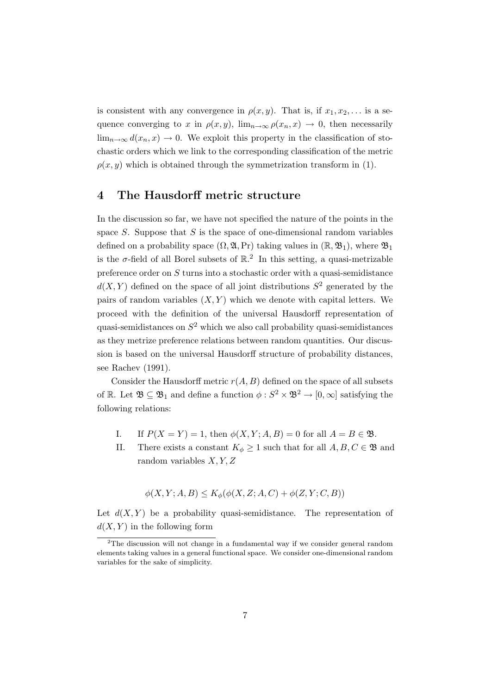is consistent with any convergence in  $\rho(x, y)$ . That is, if  $x_1, x_2, \ldots$  is a sequence converging to x in  $\rho(x, y)$ ,  $\lim_{n\to\infty} \rho(x_n, x) \to 0$ , then necessarily  $\lim_{n\to\infty} d(x_n, x) \to 0$ . We exploit this property in the classification of stochastic orders which we link to the corresponding classification of the metric  $\rho(x, y)$  which is obtained through the symmetrization transform in (1).

### 4 The Hausdorff metric structure

In the discussion so far, we have not specified the nature of the points in the space  $S$ . Suppose that  $S$  is the space of one-dimensional random variables defined on a probability space  $(\Omega, \mathfrak{A}, Pr)$  taking values in  $(\mathbb{R}, \mathfrak{B}_1)$ , where  $\mathfrak{B}_1$ is the  $\sigma$ -field of all Borel subsets of  $\mathbb{R}^2$ . In this setting, a quasi-metrizable preference order on S turns into a stochastic order with a quasi-semidistance  $d(X, Y)$  defined on the space of all joint distributions  $S^2$  generated by the pairs of random variables  $(X, Y)$  which we denote with capital letters. We proceed with the definition of the universal Hausdorff representation of quasi-semidistances on  $S^2$  which we also call probability quasi-semidistances as they metrize preference relations between random quantities. Our discussion is based on the universal Hausdorff structure of probability distances, see Rachev (1991).

Consider the Hausdorff metric  $r(A, B)$  defined on the space of all subsets of R. Let  $\mathfrak{B} \subseteq \mathfrak{B}_1$  and define a function  $\phi : S^2 \times \mathfrak{B}^2 \to [0, \infty]$  satisfying the following relations:

- I. If  $P(X = Y) = 1$ , then  $\phi(X, Y; A, B) = 0$  for all  $A = B \in \mathfrak{B}$ .
- II. There exists a constant  $K_{\phi} \geq 1$  such that for all  $A, B, C \in \mathfrak{B}$  and random variables  $X, Y, Z$

$$
\phi(X, Y; A, B) \le K_{\phi}(\phi(X, Z; A, C) + \phi(Z, Y; C, B))
$$

Let  $d(X, Y)$  be a probability quasi-semidistance. The representation of  $d(X, Y)$  in the following form

<sup>&</sup>lt;sup>2</sup>The discussion will not change in a fundamental way if we consider general random elements taking values in a general functional space. We consider one-dimensional random variables for the sake of simplicity.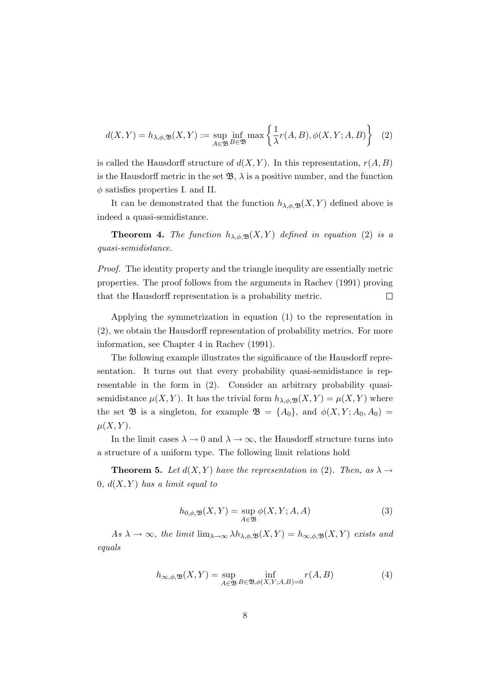$$
d(X,Y) = h_{\lambda,\phi,\mathfrak{B}}(X,Y) := \sup_{A \in \mathfrak{B}} \inf_{B \in \mathfrak{B}} \max \left\{ \frac{1}{\lambda} r(A,B), \phi(X,Y;A,B) \right\} \tag{2}
$$

is called the Hausdorff structure of  $d(X, Y)$ . In this representation,  $r(A, B)$ is the Hausdorff metric in the set  $\mathfrak{B}, \lambda$  is a positive number, and the function  $\phi$  satisfies properties I. and II.

It can be demonstrated that the function  $h_{\lambda,\phi,\mathfrak{B}}(X,Y)$  defined above is indeed a quasi-semidistance.

**Theorem 4.** The function  $h_{\lambda,\phi,\mathfrak{B}}(X,Y)$  defined in equation (2) is a quasi-semidistance.

Proof. The identity property and the triangle inequlity are essentially metric properties. The proof follows from the arguments in Rachev (1991) proving  $\Box$ that the Hausdorff representation is a probability metric.

Applying the symmetrization in equation (1) to the representation in (2), we obtain the Hausdorff representation of probability metrics. For more information, see Chapter 4 in Rachev (1991).

The following example illustrates the significance of the Hausdorff representation. It turns out that every probability quasi-semidistance is representable in the form in (2). Consider an arbitrary probability quasisemidistance  $\mu(X, Y)$ . It has the trivial form  $h_{\lambda,\phi,\mathfrak{B}}(X, Y) = \mu(X, Y)$  where the set  $\mathfrak{B}$  is a singleton, for example  $\mathfrak{B} = \{A_0\}$ , and  $\phi(X, Y; A_0, A_0) =$  $\mu(X, Y)$ .

In the limit cases  $\lambda \to 0$  and  $\lambda \to \infty$ , the Hausdorff structure turns into a structure of a uniform type. The following limit relations hold

**Theorem 5.** Let  $d(X, Y)$  have the representation in (2). Then, as  $\lambda \rightarrow$ 0,  $d(X, Y)$  has a limit equal to

$$
h_{0,\phi,\mathfrak{B}}(X,Y) = \sup_{A \in \mathfrak{B}} \phi(X,Y;A,A)
$$
\n(3)

As  $\lambda \to \infty$ , the limit  $\lim_{\lambda \to \infty} \lambda h_{\lambda,\phi,\mathfrak{B}}(X,Y) = h_{\infty,\phi,\mathfrak{B}}(X,Y)$  exists and equals

$$
h_{\infty,\phi,\mathfrak{B}}(X,Y) = \sup_{A \in \mathfrak{B}} \inf_{B \in \mathfrak{B},\phi(X,Y;A,B)=0} r(A,B)
$$
(4)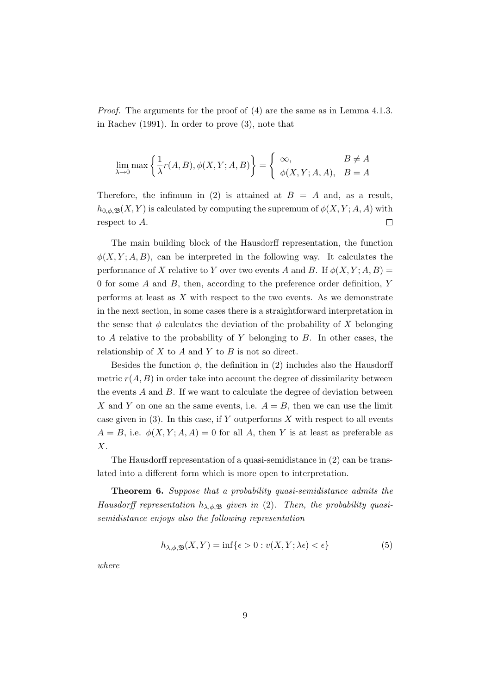Proof. The arguments for the proof of (4) are the same as in Lemma 4.1.3. in Rachev (1991). In order to prove (3), note that

$$
\lim_{\lambda \to 0} \max \left\{ \frac{1}{\lambda} r(A, B), \phi(X, Y; A, B) \right\} = \begin{cases} \infty, & B \neq A \\ \phi(X, Y; A, A), & B = A \end{cases}
$$

Therefore, the infimum in (2) is attained at  $B = A$  and, as a result,  $h_{0,\phi,\mathfrak{B}}(X,Y)$  is calculated by computing the supremum of  $\phi(X,Y;A,A)$  with respect to A.  $\Box$ 

The main building block of the Hausdorff representation, the function  $\phi(X, Y; A, B)$ , can be interpreted in the following way. It calculates the performance of X relative to Y over two events A and B. If  $\phi(X, Y; A, B)$  = 0 for some A and B, then, according to the preference order definition, Y performs at least as  $X$  with respect to the two events. As we demonstrate in the next section, in some cases there is a straightforward interpretation in the sense that  $\phi$  calculates the deviation of the probability of X belonging to  $A$  relative to the probability of  $Y$  belonging to  $B$ . In other cases, the relationship of  $X$  to  $A$  and  $Y$  to  $B$  is not so direct.

Besides the function  $\phi$ , the definition in (2) includes also the Hausdorff metric  $r(A, B)$  in order take into account the degree of dissimilarity between the events  $A$  and  $B$ . If we want to calculate the degree of deviation between X and Y on one an the same events, i.e.  $A = B$ , then we can use the limit case given in  $(3)$ . In this case, if Y outperforms X with respect to all events  $A = B$ , i.e.  $\phi(X, Y; A, A) = 0$  for all A, then Y is at least as preferable as X.

The Hausdorff representation of a quasi-semidistance in (2) can be translated into a different form which is more open to interpretation.

Theorem 6. Suppose that a probability quasi-semidistance admits the Hausdorff representation  $h_{\lambda,\phi,\mathfrak{B}}$  given in (2). Then, the probability quasisemidistance enjoys also the following representation

$$
h_{\lambda,\phi,\mathfrak{B}}(X,Y) = \inf\{\epsilon > 0 : v(X,Y;\lambda\epsilon) < \epsilon\}
$$
\n<sup>(5)</sup>

where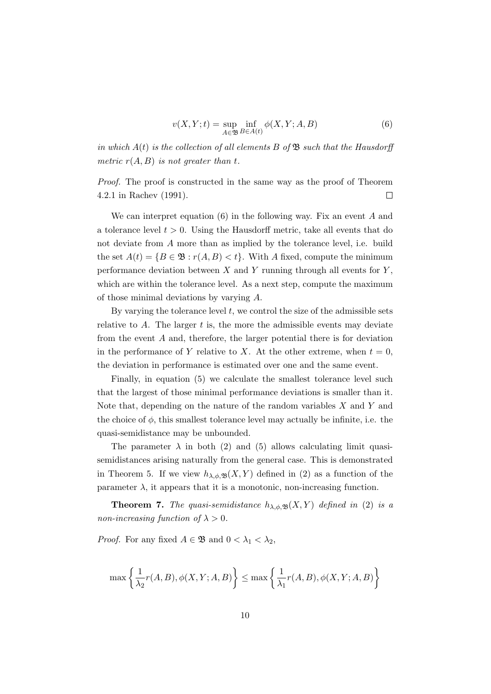$$
v(X,Y;t) = \sup_{A \in \mathfrak{B}} \inf_{B \in A(t)} \phi(X,Y;A,B)
$$
(6)

in which  $A(t)$  is the collection of all elements B of  $\mathfrak{B}$  such that the Hausdorff metric  $r(A, B)$  is not greater than t.

Proof. The proof is constructed in the same way as the proof of Theorem 4.2.1 in Rachev (1991).  $\Box$ 

We can interpret equation  $(6)$  in the following way. Fix an event A and a tolerance level  $t > 0$ . Using the Hausdorff metric, take all events that do not deviate from A more than as implied by the tolerance level, i.e. build the set  $A(t) = \{B \in \mathfrak{B} : r(A, B) < t\}$ . With A fixed, compute the minimum performance deviation between  $X$  and  $Y$  running through all events for  $Y$ , which are within the tolerance level. As a next step, compute the maximum of those minimal deviations by varying A.

By varying the tolerance level  $t$ , we control the size of the admissible sets relative to  $A$ . The larger  $t$  is, the more the admissible events may deviate from the event A and, therefore, the larger potential there is for deviation in the performance of Y relative to X. At the other extreme, when  $t = 0$ , the deviation in performance is estimated over one and the same event.

Finally, in equation (5) we calculate the smallest tolerance level such that the largest of those minimal performance deviations is smaller than it. Note that, depending on the nature of the random variables  $X$  and  $Y$  and the choice of  $\phi$ , this smallest tolerance level may actually be infinite, i.e. the quasi-semidistance may be unbounded.

The parameter  $\lambda$  in both (2) and (5) allows calculating limit quasisemidistances arising naturally from the general case. This is demonstrated in Theorem 5. If we view  $h_{\lambda,\phi,\mathfrak{B}}(X,Y)$  defined in (2) as a function of the parameter  $\lambda$ , it appears that it is a monotonic, non-increasing function.

**Theorem 7.** The quasi-semidistance  $h_{\lambda,\phi,\mathfrak{B}}(X,Y)$  defined in (2) is a non-increasing function of  $\lambda > 0$ .

*Proof.* For any fixed  $A \in \mathfrak{B}$  and  $0 < \lambda_1 < \lambda_2$ ,

$$
\max\left\{\frac{1}{\lambda_2}r(A,B),\phi(X,Y;A,B)\right\} \leq \max\left\{\frac{1}{\lambda_1}r(A,B),\phi(X,Y;A,B)\right\}
$$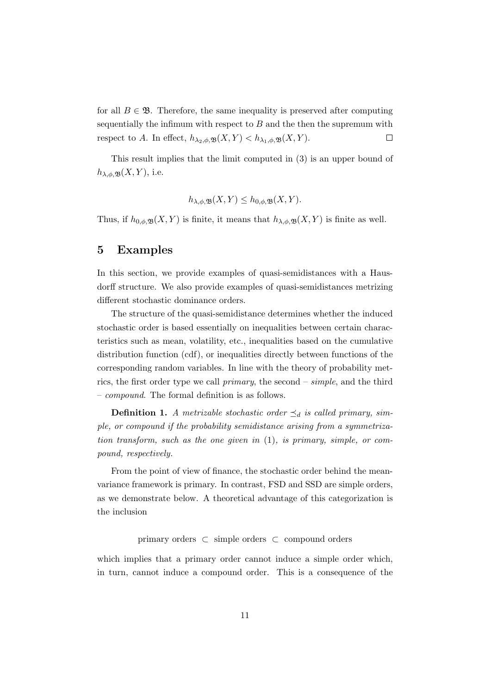for all  $B \in \mathfrak{B}$ . Therefore, the same inequality is preserved after computing sequentially the infimum with respect to  $B$  and the then the supremum with respect to A. In effect,  $h_{\lambda_2,\phi,\mathfrak{B}}(X,Y) < h_{\lambda_1,\phi,\mathfrak{B}}(X,Y)$ .  $\Box$ 

This result implies that the limit computed in (3) is an upper bound of  $h_{\lambda,\phi,\mathfrak{B}}(X,Y)$ , i.e.

$$
h_{\lambda,\phi,\mathfrak{B}}(X,Y) \leq h_{0,\phi,\mathfrak{B}}(X,Y).
$$

Thus, if  $h_{0,\phi,\mathfrak{B}}(X,Y)$  is finite, it means that  $h_{\lambda,\phi,\mathfrak{B}}(X,Y)$  is finite as well.

# 5 Examples

In this section, we provide examples of quasi-semidistances with a Hausdorff structure. We also provide examples of quasi-semidistances metrizing different stochastic dominance orders.

The structure of the quasi-semidistance determines whether the induced stochastic order is based essentially on inequalities between certain characteristics such as mean, volatility, etc., inequalities based on the cumulative distribution function (cdf), or inequalities directly between functions of the corresponding random variables. In line with the theory of probability metrics, the first order type we call primary, the second – simple, and the third – compound. The formal definition is as follows.

**Definition 1.** A metrizable stochastic order  $\preceq_d$  is called primary, simple, or compound if the probability semidistance arising from a symmetrization transform, such as the one given in (1), is primary, simple, or compound, respectively.

From the point of view of finance, the stochastic order behind the meanvariance framework is primary. In contrast, FSD and SSD are simple orders, as we demonstrate below. A theoretical advantage of this categorization is the inclusion

primary orders ⊂ simple orders ⊂ compound orders

which implies that a primary order cannot induce a simple order which, in turn, cannot induce a compound order. This is a consequence of the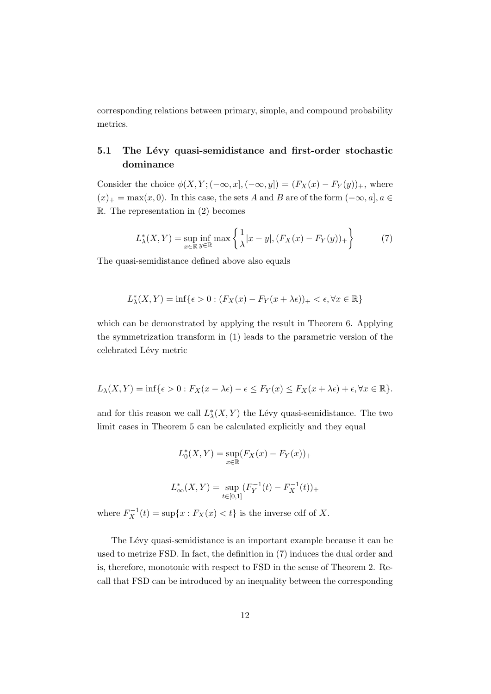corresponding relations between primary, simple, and compound probability metrics.

# 5.1 The Lévy quasi-semidistance and first-order stochastic dominance

Consider the choice  $\phi(X, Y; (-\infty, x], (-\infty, y]) = (F_X(x) - F_Y(y))_+,$  where  $(x)_+ = \max(x, 0)$ . In this case, the sets A and B are of the form  $(-\infty, a]$ ,  $a \in$  $\mathbb{R}$ . The representation in (2) becomes

$$
L^*_{\lambda}(X,Y) = \sup_{x \in \mathbb{R}} \inf_{y \in \mathbb{R}} \max\left\{ \frac{1}{\lambda} |x - y|, (F_X(x) - F_Y(y))_+ \right\}
$$
(7)

The quasi-semidistance defined above also equals

$$
L^*_{\lambda}(X,Y) = \inf \{ \epsilon > 0 : (F_X(x) - F_Y(x + \lambda \epsilon))_+ < \epsilon, \forall x \in \mathbb{R} \}
$$

which can be demonstrated by applying the result in Theorem 6. Applying the symmetrization transform in (1) leads to the parametric version of the celebrated Lévy metric

$$
L_{\lambda}(X,Y) = \inf \{ \epsilon > 0 : F_X(x - \lambda \epsilon) - \epsilon \leq F_Y(x) \leq F_X(x + \lambda \epsilon) + \epsilon, \forall x \in \mathbb{R} \}.
$$

and for this reason we call  $L^*_{\lambda}(X, Y)$  the Lévy quasi-semidistance. The two limit cases in Theorem 5 can be calculated explicitly and they equal

$$
L_0^*(X, Y) = \sup_{x \in \mathbb{R}} (F_X(x) - F_Y(x))_+
$$
  

$$
L_{\infty}^*(X, Y) = \sup_{t \in [0,1]} (F_Y^{-1}(t) - F_X^{-1}(t))_+
$$

where  $F_X^{-1}(t) = \sup\{x : F_X(x) < t\}$  is the inverse cdf of X.

The Lévy quasi-semidistance is an important example because it can be used to metrize FSD. In fact, the definition in (7) induces the dual order and is, therefore, monotonic with respect to FSD in the sense of Theorem 2. Recall that FSD can be introduced by an inequality between the corresponding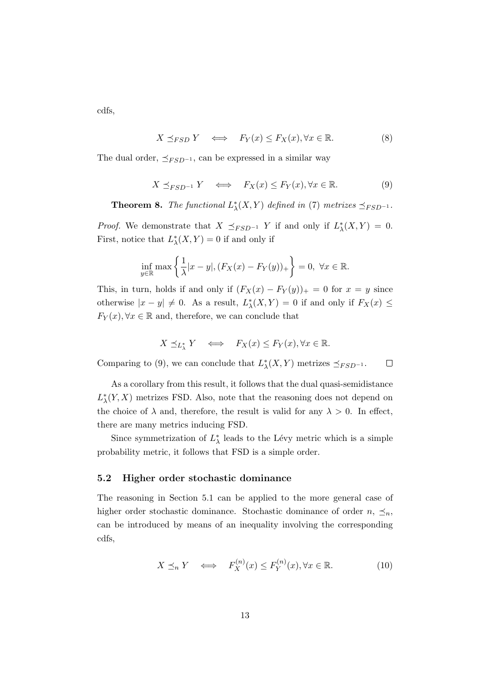cdfs,

$$
X \preceq_{FSD} Y \iff F_Y(x) \le F_X(x), \forall x \in \mathbb{R}.\tag{8}
$$

The dual order,  $\preceq_{FSD^{-1}}$ , can be expressed in a similar way

$$
X \preceq_{FSD^{-1}} Y \iff F_X(x) \le F_Y(x), \forall x \in \mathbb{R}.\tag{9}
$$

**Theorem 8.** The functional  $L^*_{\lambda}(X, Y)$  defined in (7) metrizes  $\preceq_{FSD^{-1}}$ .

*Proof.* We demonstrate that  $X \preceq_{FSD^{-1}} Y$  if and only if  $L^*_{\lambda}(X, Y) = 0$ . First, notice that  $L^*_{\lambda}(X, Y) = 0$  if and only if

$$
\inf_{y \in \mathbb{R}} \max \left\{ \frac{1}{\lambda} |x - y|, (F_X(x) - F_Y(y))_+ \right\} = 0, \ \forall x \in \mathbb{R}.
$$

This, in turn, holds if and only if  $(F_X(x) - F_Y(y))_+ = 0$  for  $x = y$  since otherwise  $|x - y| \neq 0$ . As a result,  $L^*_{\lambda}(X, Y) = 0$  if and only if  $F_X(x) \leq$  $F_Y(x), \forall x \in \mathbb{R}$  and, therefore, we can conclude that

$$
X \preceq_{L^*_\lambda} Y \quad \Longleftrightarrow \quad F_X(x) \le F_Y(x), \forall x \in \mathbb{R}.
$$

Comparing to (9), we can conclude that  $L^*_{\lambda}(X, Y)$  metrizes  $\preceq_{FSD^{-1}}$ .  $\Box$ 

As a corollary from this result, it follows that the dual quasi-semidistance  $L^*_{\lambda}(Y, X)$  metrizes FSD. Also, note that the reasoning does not depend on the choice of  $\lambda$  and, therefore, the result is valid for any  $\lambda > 0$ . In effect, there are many metrics inducing FSD.

Since symmetrization of  $L^*_{\lambda}$  leads to the Lévy metric which is a simple probability metric, it follows that FSD is a simple order.

#### 5.2 Higher order stochastic dominance

The reasoning in Section 5.1 can be applied to the more general case of higher order stochastic dominance. Stochastic dominance of order  $n, \preceq_n$ , can be introduced by means of an inequality involving the corresponding cdfs,

$$
X \preceq_n Y \iff F_X^{(n)}(x) \le F_Y^{(n)}(x), \forall x \in \mathbb{R}.\tag{10}
$$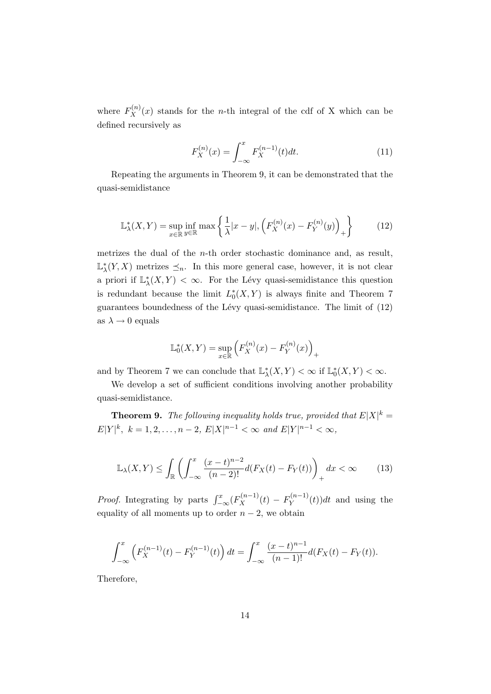where  $F_X^{(n)}(x)$  stands for the *n*-th integral of the cdf of X which can be defined recursively as

$$
F_X^{(n)}(x) = \int_{-\infty}^x F_X^{(n-1)}(t)dt.
$$
 (11)

Repeating the arguments in Theorem 9, it can be demonstrated that the quasi-semidistance

$$
\mathbb{L}_{\lambda}^*(X,Y) = \sup_{x \in \mathbb{R}} \inf_{y \in \mathbb{R}} \max \left\{ \frac{1}{\lambda} |x - y|, \left( F_X^{(n)}(x) - F_Y^{(n)}(y) \right)_+ \right\} \tag{12}
$$

metrizes the dual of the n-th order stochastic dominance and, as result,  $\mathbb{L}^*_{\lambda}(Y, X)$  metrizes  $\preceq_n$ . In this more general case, however, it is not clear a priori if  $\mathbb{L}^*_{\lambda}(X, Y) < \infty$ . For the Lévy quasi-semidistance this question is redundant because the limit  $L_0^*(X, Y)$  is always finite and Theorem 7 guarantees boundedness of the Lévy quasi-semidistance. The limit of  $(12)$ as  $\lambda \rightarrow 0$  equals

$$
\mathbb{L}_0^*(X, Y) = \sup_{x \in \mathbb{R}} \left( F_X^{(n)}(x) - F_Y^{(n)}(x) \right)_+
$$

and by Theorem 7 we can conclude that  $\mathbb{L}^*_{\lambda}(X, Y) < \infty$  if  $\mathbb{L}^*_{0}(X, Y) < \infty$ .

We develop a set of sufficient conditions involving another probability quasi-semidistance.

**Theorem 9.** The following inequality holds true, provided that  $E|X|^k =$  $E|Y|^k$ ,  $k = 1, 2, ..., n-2$ ,  $E|X|^{n-1} < \infty$  and  $E|Y|^{n-1} < \infty$ ,

$$
\mathbb{L}_{\lambda}(X,Y) \le \int_{\mathbb{R}} \left( \int_{-\infty}^{x} \frac{(x-t)^{n-2}}{(n-2)!} d(F_X(t) - F_Y(t)) \right)_+ dx < \infty \tag{13}
$$

*Proof.* Integrating by parts  $\int_{-\infty}^{x} (F_X^{(n-1)}(t) - F_Y^{(n-1)}$  $(Y^{(n-1)}(t))dt$  and using the equality of all moments up to order  $n-2$ , we obtain

$$
\int_{-\infty}^{x} \left( F_X^{(n-1)}(t) - F_Y^{(n-1)}(t) \right) dt = \int_{-\infty}^{x} \frac{(x-t)^{n-1}}{(n-1)!} d(F_X(t) - F_Y(t)).
$$

Therefore,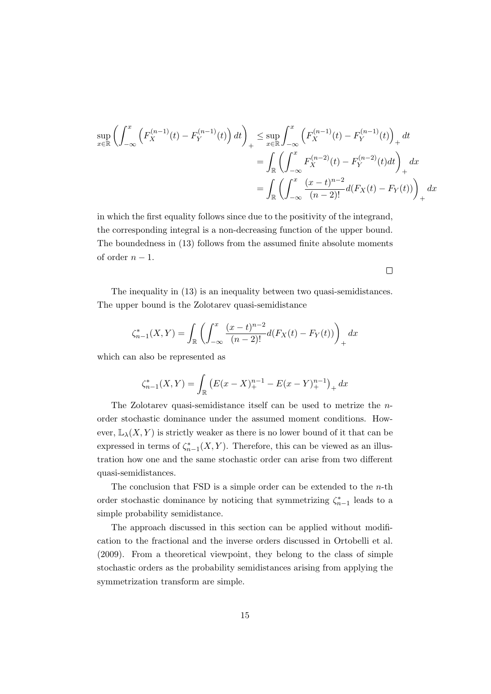$$
\sup_{x \in \mathbb{R}} \left( \int_{-\infty}^{x} \left( F_X^{(n-1)}(t) - F_Y^{(n-1)}(t) \right) dt \right)_+ \leq \sup_{x \in \mathbb{R}} \int_{-\infty}^{x} \left( F_X^{(n-1)}(t) - F_Y^{(n-1)}(t) \right)_+ dt
$$
  
= 
$$
\int_{\mathbb{R}} \left( \int_{-\infty}^{x} F_X^{(n-2)}(t) - F_Y^{(n-2)}(t) dt \right)_+ dx
$$
  
= 
$$
\int_{\mathbb{R}} \left( \int_{-\infty}^{x} \frac{(x-t)^{n-2}}{(n-2)!} d(F_X(t) - F_Y(t)) \right)_+ dx
$$

 $\Box$ 

in which the first equality follows since due to the positivity of the integrand, the corresponding integral is a non-decreasing function of the upper bound. The boundedness in (13) follows from the assumed finite absolute moments of order  $n-1$ .

The inequality in (13) is an inequality between two quasi-semidistances. The upper bound is the Zolotarev quasi-semidistance

$$
\zeta_{n-1}^*(X,Y) = \int_{\mathbb{R}} \left( \int_{-\infty}^x \frac{(x-t)^{n-2}}{(n-2)!} d(F_X(t) - F_Y(t)) \right)_+ dx
$$

which can also be represented as

$$
\zeta_{n-1}^*(X,Y) = \int_{\mathbb{R}} \left( E(x-X)_+^{n-1} - E(x-Y)_+^{n-1} \right)_+ dx
$$

The Zolotarev quasi-semidistance itself can be used to metrize the norder stochastic dominance under the assumed moment conditions. However,  $\mathbb{L}_{\lambda}(X, Y)$  is strictly weaker as there is no lower bound of it that can be expressed in terms of  $\zeta_{n-1}^*(X, Y)$ . Therefore, this can be viewed as an illustration how one and the same stochastic order can arise from two different quasi-semidistances.

The conclusion that  $\text{FSD}$  is a simple order can be extended to the *n*-th order stochastic dominance by noticing that symmetrizing  $\zeta_{n-1}^*$  leads to a simple probability semidistance.

The approach discussed in this section can be applied without modification to the fractional and the inverse orders discussed in Ortobelli et al. (2009). From a theoretical viewpoint, they belong to the class of simple stochastic orders as the probability semidistances arising from applying the symmetrization transform are simple.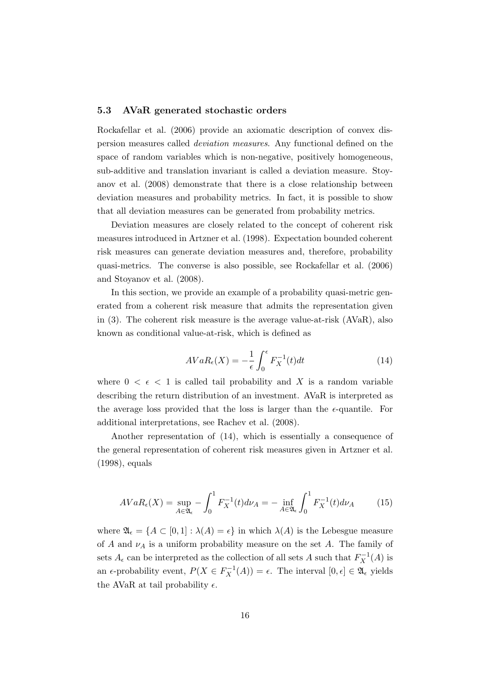#### 5.3 AVaR generated stochastic orders

Rockafellar et al. (2006) provide an axiomatic description of convex dispersion measures called deviation measures. Any functional defined on the space of random variables which is non-negative, positively homogeneous, sub-additive and translation invariant is called a deviation measure. Stoyanov et al. (2008) demonstrate that there is a close relationship between deviation measures and probability metrics. In fact, it is possible to show that all deviation measures can be generated from probability metrics.

Deviation measures are closely related to the concept of coherent risk measures introduced in Artzner et al. (1998). Expectation bounded coherent risk measures can generate deviation measures and, therefore, probability quasi-metrics. The converse is also possible, see Rockafellar et al. (2006) and Stoyanov et al. (2008).

In this section, we provide an example of a probability quasi-metric generated from a coherent risk measure that admits the representation given in (3). The coherent risk measure is the average value-at-risk (AVaR), also known as conditional value-at-risk, which is defined as

$$
AVaR_{\epsilon}(X) = -\frac{1}{\epsilon} \int_0^{\epsilon} F_X^{-1}(t)dt
$$
\n(14)

where  $0 < \epsilon < 1$  is called tail probability and X is a random variable describing the return distribution of an investment. AVaR is interpreted as the average loss provided that the loss is larger than the  $\epsilon$ -quantile. For additional interpretations, see Rachev et al. (2008).

Another representation of (14), which is essentially a consequence of the general representation of coherent risk measures given in Artzner et al. (1998), equals

$$
AVaR_{\epsilon}(X) = \sup_{A \in \mathfrak{A}_{\epsilon}} - \int_{0}^{1} F_{X}^{-1}(t)d\nu_{A} = -\inf_{A \in \mathfrak{A}_{\epsilon}} \int_{0}^{1} F_{X}^{-1}(t)d\nu_{A} \tag{15}
$$

where  $\mathfrak{A}_{\epsilon} = \{A \subset [0,1]: \lambda(A) = \epsilon\}$  in which  $\lambda(A)$  is the Lebesgue measure of A and  $\nu_A$  is a uniform probability measure on the set A. The family of sets  $A_{\epsilon}$  can be interpreted as the collection of all sets A such that  $F_X^{-1}(A)$  is an  $\epsilon$ -probability event,  $P(X \in F_X^{-1}(A)) = \epsilon$ . The interval  $[0, \epsilon] \in \mathfrak{A}_{\epsilon}$  yields the AVaR at tail probability  $\epsilon$ .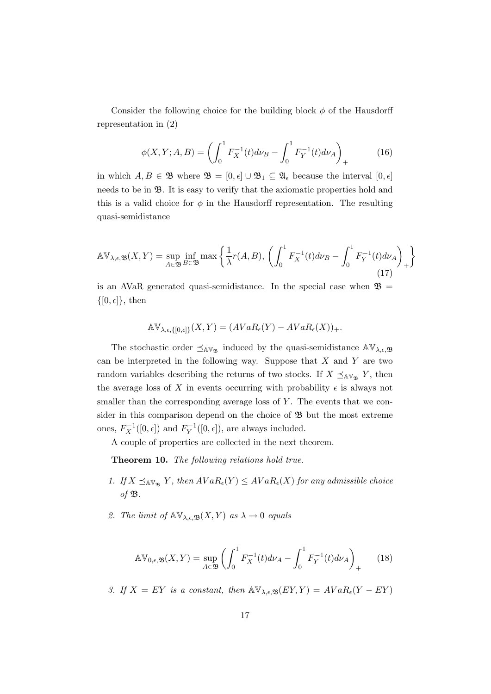Consider the following choice for the building block  $\phi$  of the Hausdorff representation in (2)

$$
\phi(X, Y; A, B) = \left( \int_0^1 F_X^{-1}(t) d\nu_B - \int_0^1 F_Y^{-1}(t) d\nu_A \right)_+ \tag{16}
$$

in which  $A, B \in \mathfrak{B}$  where  $\mathfrak{B} = [0, \epsilon] \cup \mathfrak{B}_1 \subseteq \mathfrak{A}_{\epsilon}$  because the interval  $[0, \epsilon]$ needs to be in  $\mathfrak{B}$ . It is easy to verify that the axiomatic properties hold and this is a valid choice for  $\phi$  in the Hausdorff representation. The resulting quasi-semidistance

$$
\mathbb{A}\mathbb{V}_{\lambda,\epsilon,\mathfrak{B}}(X,Y) = \sup_{A\in\mathfrak{B}} \inf_{B\in\mathfrak{B}} \max\left\{ \frac{1}{\lambda} r(A,B), \left( \int_0^1 F_X^{-1}(t) d\nu_B - \int_0^1 F_Y^{-1}(t) d\nu_A \right)_+ \right\}
$$
(17)

is an AVaR generated quasi-semidistance. In the special case when  $\mathfrak{B} =$  $\{[0, \epsilon]\},\$  then

$$
\mathbb{A} \mathbb{V}_{\lambda,\epsilon,\{[0,\epsilon]\}}(X,Y) = (AVaR_{\epsilon}(Y) - AVaR_{\epsilon}(X))_{+}.
$$

The stochastic order  $\preceq_{AV_{\mathfrak{B}}}$  induced by the quasi-semidistance  $\mathbb{AV}_{\lambda,\epsilon,\mathfrak{B}}$ can be interpreted in the following way. Suppose that  $X$  and  $Y$  are two random variables describing the returns of two stocks. If  $X \preceq_{\mathbb{A} V_{\mathfrak{B}}} Y$ , then the average loss of X in events occurring with probability  $\epsilon$  is always not smaller than the corresponding average loss of  $Y$ . The events that we consider in this comparison depend on the choice of  $\mathfrak{B}$  but the most extreme ones,  $F_X^{-1}([0, \epsilon])$  and  $F_Y^{-1}$  $Y^{-1}([0, \epsilon]),$  are always included.

A couple of properties are collected in the next theorem.

Theorem 10. The following relations hold true.

- 1. If  $X \preceq_{\mathbb{A} \mathbb{V}_{\mathfrak{B}}} Y$ , then  $AVaR_{\epsilon}(Y) \leq AVaR_{\epsilon}(X)$  for any admissible choice of  $\mathfrak{B}$ .
- 2. The limit of  $\mathbb{A} \mathbb{V}_{\lambda,\epsilon,\mathfrak{B}}(X,Y)$  as  $\lambda \to 0$  equals

$$
\mathbb{A}\mathbb{V}_{0,\epsilon,\mathfrak{B}}(X,Y) = \sup_{A\in\mathfrak{B}} \left( \int_0^1 F_X^{-1}(t) d\nu_A - \int_0^1 F_Y^{-1}(t) d\nu_A \right)_+ \tag{18}
$$

3. If  $X = EY$  is a constant, then  $\mathbb{A} \mathbb{V}_{\lambda, \epsilon, \mathfrak{B}}(EY, Y) = AVaR_{\epsilon}(Y - EY)$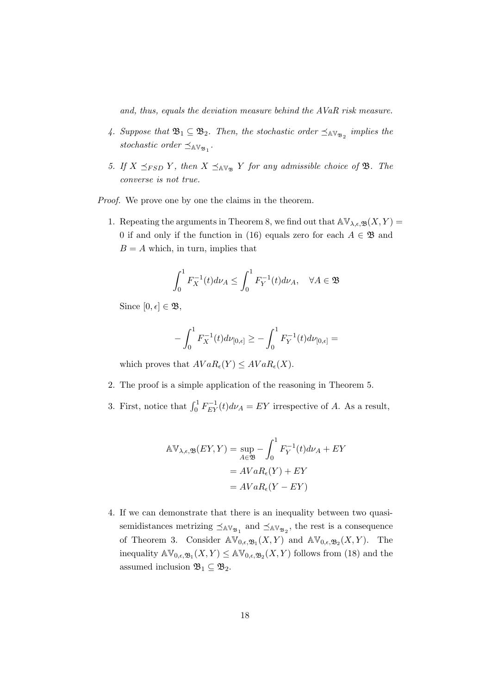and, thus, equals the deviation measure behind the AVaR risk measure.

- 4. Suppose that  $\mathfrak{B}_1 \subseteq \mathfrak{B}_2$ . Then, the stochastic order  $\preceq_{\mathbb{AV}_{\mathfrak{B}_2}}$  implies the stochastic order  $\preceq_{\mathbb{AV}_{\mathfrak{B}_1}}$ .
- 5. If  $X \preceq_{FSD} Y$ , then  $X \preceq_{A\mathbb{V}_{\mathfrak{B}}} Y$  for any admissible choice of  $\mathfrak{B}$ . The converse is not true.

Proof. We prove one by one the claims in the theorem.

1. Repeating the arguments in Theorem 8, we find out that  $\mathbb{AV}_{\lambda,\epsilon,\mathfrak{B}}(X,Y) =$ 0 if and only if the function in (16) equals zero for each  $A \in \mathfrak{B}$  and  $B = A$  which, in turn, implies that

$$
\int_0^1 F_X^{-1}(t) d\nu_A \le \int_0^1 F_Y^{-1}(t) d\nu_A, \quad \forall A \in \mathfrak{B}
$$

Since  $[0, \epsilon] \in \mathfrak{B}$ ,

$$
-\int_0^1 F_X^{-1}(t)d\nu_{[0,\epsilon]} \ge -\int_0^1 F_Y^{-1}(t)d\nu_{[0,\epsilon]} =
$$

which proves that  $AVaR_{\epsilon}(Y) \leq AVaR_{\epsilon}(X)$ .

- 2. The proof is a simple application of the reasoning in Theorem 5.
- 3. First, notice that  $\int_0^1 F_{EY}^{-1}(t) d\nu_A = EY$  irrespective of A. As a result,

$$
\begin{aligned} \mathbb{A}\mathbb{V}_{\lambda,\epsilon,\mathfrak{B}}(EY,Y) &= \sup_{A\in\mathfrak{B}} - \int_0^1 F_Y^{-1}(t)d\nu_A + EY \\ &= AVaR_\epsilon(Y) + EY \\ &= AVaR_\epsilon(Y - EY) \end{aligned}
$$

4. If we can demonstrate that there is an inequality between two quasisemidistances metrizing  $\preceq_{AV_{\mathfrak{B}_1}}$  and  $\preceq_{AV_{\mathfrak{B}_2}}$ , the rest is a consequence of Theorem 3. Consider  $\mathbb{AV}_{0,\epsilon,\mathfrak{B}_1}(X,Y)$  and  $\mathbb{AV}_{0,\epsilon,\mathfrak{B}_2}(X,Y)$ . The inequality  $\mathbb{AV}_{0,\epsilon,\mathfrak{B}_1}(X,Y) \leq \mathbb{AV}_{0,\epsilon,\mathfrak{B}_2}(X,Y)$  follows from (18) and the assumed inclusion  $\mathfrak{B}_1 \subseteq \mathfrak{B}_2$ .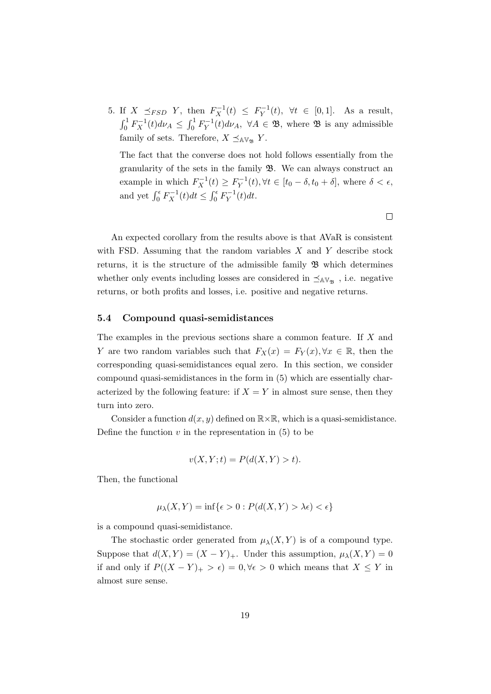5. If  $X \preceq_{FSD} Y$ , then  $F_X^{-1}(t) \leq F_Y^{-1}$  $Y^{-1}(t)$ ,  $\forall t \in [0,1]$ . As a result,  $\int_0^1 F_X^{-1}(t) d\nu_A \leq \int_0^1 F_Y^{-1}$  $Y^{-1}(t)d\nu_A$ ,  $\forall A \in \mathfrak{B}$ , where  $\mathfrak{B}$  is any admissible family of sets. Therefore,  $X \preceq_{\mathbb{A}\mathbb{V}_{\mathfrak{B}}} Y$ .

The fact that the converse does not hold follows essentially from the granularity of the sets in the family B. We can always construct an example in which  $F_X^{-1}(t) \geq F_Y^{-1}$  $Y^{-1}(t), \forall t \in [t_0 - \delta, t_0 + \delta],$  where  $\delta < \epsilon$ , and yet  $\int_0^{\epsilon} F_X^{-1}(t)dt \leq \int_0^{\epsilon} F_Y^{-1}$  $Y^{-1}(t)dt$ .

An expected corollary from the results above is that AVaR is consistent with FSD. Assuming that the random variables  $X$  and  $Y$  describe stock returns, it is the structure of the admissible family  $\mathfrak B$  which determines whether only events including losses are considered in  $\preceq_{AV_{\mathfrak{B}}}$ , i.e. negative returns, or both profits and losses, i.e. positive and negative returns.

#### 5.4 Compound quasi-semidistances

The examples in the previous sections share a common feature. If X and Y are two random variables such that  $F_X(x) = F_Y(x), \forall x \in \mathbb{R}$ , then the corresponding quasi-semidistances equal zero. In this section, we consider compound quasi-semidistances in the form in (5) which are essentially characterized by the following feature: if  $X = Y$  in almost sure sense, then they turn into zero.

Consider a function  $d(x, y)$  defined on  $\mathbb{R} \times \mathbb{R}$ , which is a quasi-semidistance. Define the function  $v$  in the representation in  $(5)$  to be

$$
v(X, Y; t) = P(d(X, Y) > t).
$$

Then, the functional

$$
\mu_{\lambda}(X, Y) = \inf \{ \epsilon > 0 : P(d(X, Y) > \lambda \epsilon) < \epsilon \}
$$

is a compound quasi-semidistance.

The stochastic order generated from  $\mu_{\lambda}(X, Y)$  is of a compound type. Suppose that  $d(X, Y) = (X - Y)_+$ . Under this assumption,  $\mu_\lambda(X, Y) = 0$ if and only if  $P((X - Y)_{+} > \epsilon) = 0, \forall \epsilon > 0$  which means that  $X \leq Y$  in almost sure sense.

 $\Box$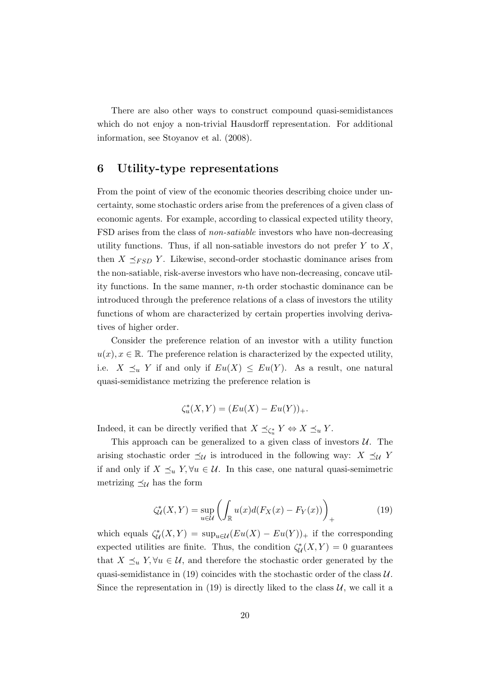There are also other ways to construct compound quasi-semidistances which do not enjoy a non-trivial Hausdorff representation. For additional information, see Stoyanov et al. (2008).

### 6 Utility-type representations

From the point of view of the economic theories describing choice under uncertainty, some stochastic orders arise from the preferences of a given class of economic agents. For example, according to classical expected utility theory, FSD arises from the class of non-satiable investors who have non-decreasing utility functions. Thus, if all non-satiable investors do not prefer  $Y$  to  $X$ , then  $X \preceq_{FSD} Y$ . Likewise, second-order stochastic dominance arises from the non-satiable, risk-averse investors who have non-decreasing, concave utility functions. In the same manner,  $n$ -th order stochastic dominance can be introduced through the preference relations of a class of investors the utility functions of whom are characterized by certain properties involving derivatives of higher order.

Consider the preference relation of an investor with a utility function  $u(x), x \in \mathbb{R}$ . The preference relation is characterized by the expected utility, i.e.  $X \preceq_u Y$  if and only if  $Eu(X) \leq Eu(Y)$ . As a result, one natural quasi-semidistance metrizing the preference relation is

$$
\zeta_u^*(X, Y) = (Eu(X) - Eu(Y))_+.
$$

Indeed, it can be directly verified that  $X \preceq_{\zeta_u^*} Y \Leftrightarrow X \preceq_u Y$ .

This approach can be generalized to a given class of investors  $U$ . The arising stochastic order  $\preceq_{\mathcal{U}}$  is introduced in the following way:  $X \preceq_{\mathcal{U}} Y$ if and only if  $X \preceq_u Y$ ,  $\forall u \in \mathcal{U}$ . In this case, one natural quasi-semimetric metrizing  $\preceq_{\mathcal{U}}$  has the form

$$
\zeta^*_{\mathcal{U}}(X,Y) = \sup_{u \in \mathcal{U}} \left( \int_{\mathbb{R}} u(x) d(F_X(x) - F_Y(x)) \right)_+ \tag{19}
$$

which equals  $\zeta^*_{\mathcal{U}}(X,Y) = \sup_{u \in \mathcal{U}} (Eu(X) - Eu(Y))_{+}$  if the corresponding expected utilities are finite. Thus, the condition  $\zeta^*_{\mathcal{U}}(X,Y) = 0$  guarantees that  $X \preceq_u Y$ ,  $\forall u \in \mathcal{U}$ , and therefore the stochastic order generated by the quasi-semidistance in (19) coincides with the stochastic order of the class  $U$ . Since the representation in (19) is directly liked to the class  $U$ , we call it a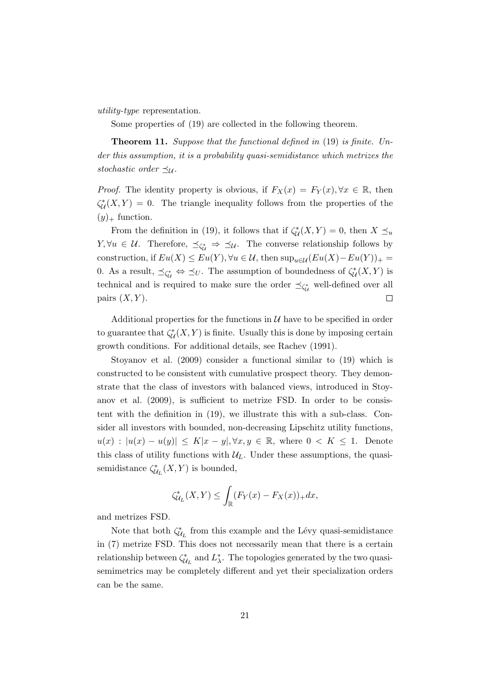utility-type representation.

Some properties of (19) are collected in the following theorem.

Theorem 11. Suppose that the functional defined in (19) is finite. Under this assumption, it is a probability quasi-semidistance which metrizes the stochastic order  $\preceq_{\mathcal{U}}$ .

*Proof.* The identity property is obvious, if  $F_X(x) = F_Y(x), \forall x \in \mathbb{R}$ , then  $\zeta^*_{\mathcal{U}}(X,Y) = 0$ . The triangle inequality follows from the properties of the  $(y)_+$  function.

From the definition in (19), it follows that if  $\zeta^*_{\mathcal{U}}(X,Y) = 0$ , then  $X \preceq_u$  $Y, \forall u \in \mathcal{U}$ . Therefore,  $\preceq_{\zeta_u^*} \Rightarrow \preceq_{\mathcal{U}}$ . The converse relationship follows by construction, if  $Eu(X) \le Eu(Y)$ ,  $\forall u \in \mathcal{U}$ , then  $\sup_{u \in \mathcal{U}} (Eu(X) - Eu(Y))_{+} =$ 0. As a result,  $\preceq_{\zeta_{\mathcal{U}}^*} \Leftrightarrow \preceq_U$ . The assumption of boundedness of  $\zeta_{\mathcal{U}}^*(X, Y)$  is technical and is required to make sure the order  $\preceq_{\zeta_{\mathcal{U}}^*}$  well-defined over all pairs  $(X, Y)$ .  $\Box$ 

Additional properties for the functions in  $\mathcal U$  have to be specified in order to guarantee that  $\zeta^*_{\mathcal{U}}(X, Y)$  is finite. Usually this is done by imposing certain growth conditions. For additional details, see Rachev (1991).

Stoyanov et al. (2009) consider a functional similar to (19) which is constructed to be consistent with cumulative prospect theory. They demonstrate that the class of investors with balanced views, introduced in Stoyanov et al. (2009), is sufficient to metrize FSD. In order to be consistent with the definition in (19), we illustrate this with a sub-class. Consider all investors with bounded, non-decreasing Lipschitz utility functions,  $u(x) : |u(x) - u(y)| \leq K|x - y|, \forall x, y \in \mathbb{R}$ , where  $0 < K \leq 1$ . Denote this class of utility functions with  $\mathcal{U}_L$ . Under these assumptions, the quasisemidistance  $\zeta^*_{\mathcal{U}_L}(X, Y)$  is bounded,

$$
\zeta^*_{\mathcal{U}_L}(X,Y) \leq \int_{\mathbb{R}} (F_Y(x) - F_X(x))_+ dx,
$$

and metrizes FSD.

Note that both  $\zeta_{\mathcal{U}_L}^*$  from this example and the Lévy quasi-semidistance in (7) metrize FSD. This does not necessarily mean that there is a certain relationship between  $\zeta^*_{\mathcal{U}_L}$  and  $L^*_{\lambda}$ . The topologies generated by the two quasisemimetrics may be completely different and yet their specialization orders can be the same.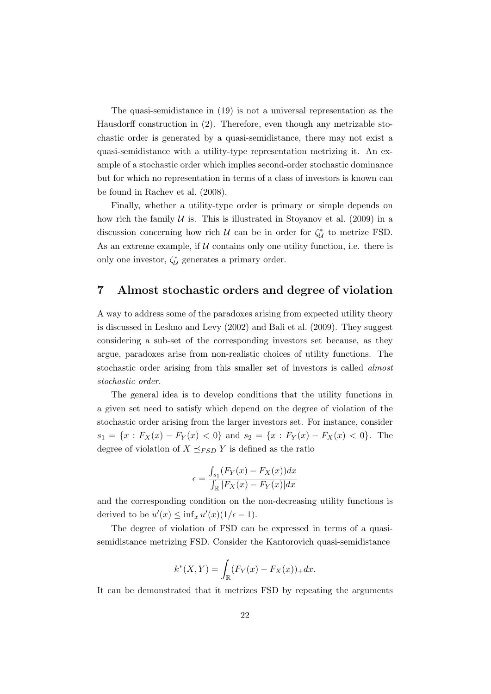The quasi-semidistance in (19) is not a universal representation as the Hausdorff construction in (2). Therefore, even though any metrizable stochastic order is generated by a quasi-semidistance, there may not exist a quasi-semidistance with a utility-type representation metrizing it. An example of a stochastic order which implies second-order stochastic dominance but for which no representation in terms of a class of investors is known can be found in Rachev et al. (2008).

Finally, whether a utility-type order is primary or simple depends on how rich the family  $U$  is. This is illustrated in Stoyanov et al. (2009) in a discussion concerning how rich  $U$  can be in order for  $\zeta_{U}^{*}$  to metrize FSD. As an extreme example, if  $U$  contains only one utility function, i.e. there is only one investor,  $\zeta_{\mathcal{U}}^*$  generates a primary order.

### 7 Almost stochastic orders and degree of violation

A way to address some of the paradoxes arising from expected utility theory is discussed in Leshno and Levy (2002) and Bali et al. (2009). They suggest considering a sub-set of the corresponding investors set because, as they argue, paradoxes arise from non-realistic choices of utility functions. The stochastic order arising from this smaller set of investors is called almost stochastic order.

The general idea is to develop conditions that the utility functions in a given set need to satisfy which depend on the degree of violation of the stochastic order arising from the larger investors set. For instance, consider  $s_1 = \{x : F_X(x) - F_Y(x) < 0\}$  and  $s_2 = \{x : F_Y(x) - F_X(x) < 0\}$ . The degree of violation of  $X \preceq_{FSD} Y$  is defined as the ratio

$$
\epsilon = \frac{\int_{s_1} (F_Y(x) - F_X(x)) dx}{\int_{\mathbb{R}} |F_X(x) - F_Y(x)| dx}
$$

and the corresponding condition on the non-decreasing utility functions is derived to be  $u'(x) \leq \inf_x u'(x) (1/\epsilon - 1)$ .

The degree of violation of FSD can be expressed in terms of a quasisemidistance metrizing FSD. Consider the Kantorovich quasi-semidistance

$$
k^*(X,Y) = \int_{\mathbb{R}} (F_Y(x) - F_X(x))_+ dx.
$$

It can be demonstrated that it metrizes FSD by repeating the arguments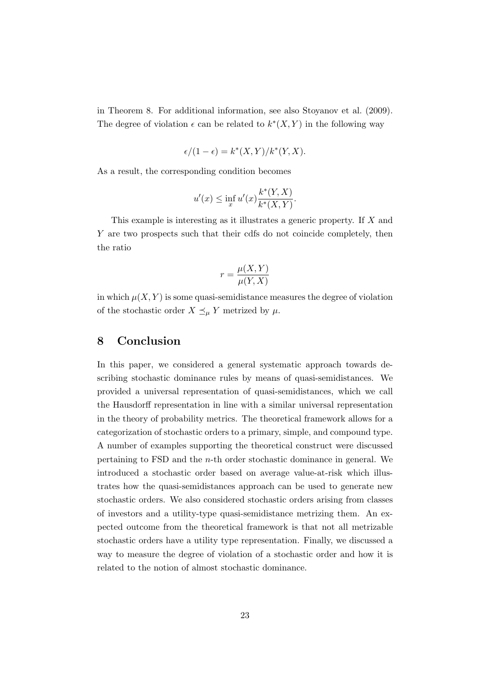in Theorem 8. For additional information, see also Stoyanov et al. (2009). The degree of violation  $\epsilon$  can be related to  $k^*(X, Y)$  in the following way

$$
\epsilon/(1-\epsilon) = k^*(X,Y)/k^*(Y,X).
$$

As a result, the corresponding condition becomes

$$
u'(x) \le \inf_{x} u'(x) \frac{k^*(Y,X)}{k^*(X,Y)}.
$$

This example is interesting as it illustrates a generic property. If  $X$  and Y are two prospects such that their cdfs do not coincide completely, then the ratio

$$
r = \frac{\mu(X, Y)}{\mu(Y, X)}
$$

in which  $\mu(X, Y)$  is some quasi-semidistance measures the degree of violation of the stochastic order  $X \preceq_{\mu} Y$  metrized by  $\mu$ .

# 8 Conclusion

In this paper, we considered a general systematic approach towards describing stochastic dominance rules by means of quasi-semidistances. We provided a universal representation of quasi-semidistances, which we call the Hausdorff representation in line with a similar universal representation in the theory of probability metrics. The theoretical framework allows for a categorization of stochastic orders to a primary, simple, and compound type. A number of examples supporting the theoretical construct were discussed pertaining to FSD and the n-th order stochastic dominance in general. We introduced a stochastic order based on average value-at-risk which illustrates how the quasi-semidistances approach can be used to generate new stochastic orders. We also considered stochastic orders arising from classes of investors and a utility-type quasi-semidistance metrizing them. An expected outcome from the theoretical framework is that not all metrizable stochastic orders have a utility type representation. Finally, we discussed a way to measure the degree of violation of a stochastic order and how it is related to the notion of almost stochastic dominance.